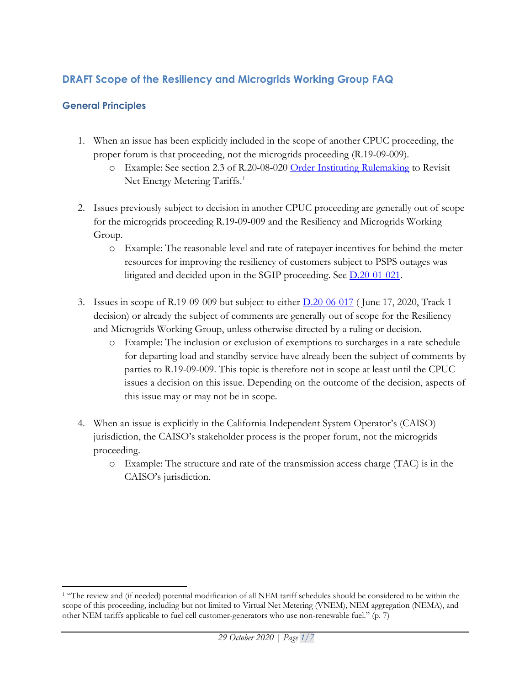# **DRAFT Scope of the Resiliency and Microgrids Working Group FAQ**

# **General Principles**

- 1. When an issue has been explicitly included in the scope of another CPUC proceeding, the proper forum is that proceeding, not the microgrids proceeding (R.19-09-009).
	- o Example: See section 2.3 of R.20-08-020 [Order Instituting Rulemaking](https://docs.cpuc.ca.gov/PublishedDocs/Published/G000/M346/K286/346286700.PDF) to Revisit Net Energy Metering Tariffs.<sup>[1](#page-0-0)</sup>
- 2. Issues previously subject to decision in another CPUC proceeding are generally out of scope for the microgrids proceeding R.19-09-009 and the Resiliency and Microgrids Working Group.
	- o Example: The reasonable level and rate of ratepayer incentives for behind-the-meter resources for improving the resiliency of customers subject to PSPS outages was litigated and decided upon in the SGIP proceeding. See [D.20-01-021.](https://docs.cpuc.ca.gov/PublishedDocs/Published/G000/M325/K979/325979689.PDF)
- 3. Issues in scope of R.19-09-009 but subject to either [D.20-06-017](https://docs.cpuc.ca.gov/PublishedDocs/Published/G000/M340/K748/340748922.PDF) ( June 17, 2020, Track 1 decision) or already the subject of comments are generally out of scope for the Resiliency and Microgrids Working Group, unless otherwise directed by a ruling or decision.
	- o Example: The inclusion or exclusion of exemptions to surcharges in a rate schedule for departing load and standby service have already been the subject of comments by parties to R.19-09-009. This topic is therefore not in scope at least until the CPUC issues a decision on this issue. Depending on the outcome of the decision, aspects of this issue may or may not be in scope.
- 4. When an issue is explicitly in the California Independent System Operator's (CAISO) jurisdiction, the CAISO's stakeholder process is the proper forum, not the microgrids proceeding.
	- o Example: The structure and rate of the transmission access charge (TAC) is in the CAISO's jurisdiction.

<span id="page-0-0"></span><sup>&</sup>lt;sup>1</sup> "The review and (if needed) potential modification of all NEM tariff schedules should be considered to be within the scope of this proceeding, including but not limited to Virtual Net Metering (VNEM), NEM aggregation (NEMA), and other NEM tariffs applicable to fuel cell customer-generators who use non-renewable fuel." (p. 7)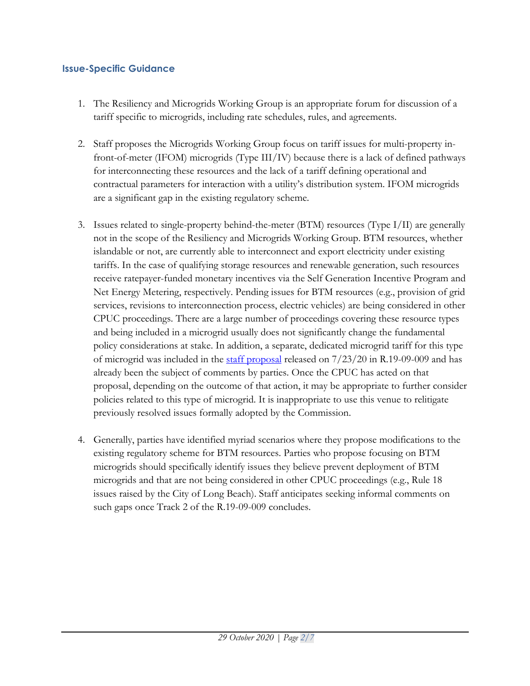#### **Issue-Specific Guidance**

- 1. The Resiliency and Microgrids Working Group is an appropriate forum for discussion of a tariff specific to microgrids, including rate schedules, rules, and agreements.
- 2. Staff proposes the Microgrids Working Group focus on tariff issues for multi-property infront-of-meter (IFOM) microgrids (Type III/IV) because there is a lack of defined pathways for interconnecting these resources and the lack of a tariff defining operational and contractual parameters for interaction with a utility's distribution system. IFOM microgrids are a significant gap in the existing regulatory scheme.
- 3. Issues related to single-property behind-the-meter (BTM) resources (Type I/II) are generally not in the scope of the Resiliency and Microgrids Working Group. BTM resources, whether islandable or not, are currently able to interconnect and export electricity under existing tariffs. In the case of qualifying storage resources and renewable generation, such resources receive ratepayer-funded monetary incentives via the Self Generation Incentive Program and Net Energy Metering, respectively. Pending issues for BTM resources (e.g., provision of grid services, revisions to interconnection process, electric vehicles) are being considered in other CPUC proceedings. There are a large number of proceedings covering these resource types and being included in a microgrid usually does not significantly change the fundamental policy considerations at stake. In addition, a separate, dedicated microgrid tariff for this type of microgrid was included in the [staff proposal](https://docs.cpuc.ca.gov/PublishedDocs/Efile/G000/M342/K195/342195599.PDF) released on 7/23/20 in R.19-09-009 and has already been the subject of comments by parties. Once the CPUC has acted on that proposal, depending on the outcome of that action, it may be appropriate to further consider policies related to this type of microgrid. It is inappropriate to use this venue to relitigate previously resolved issues formally adopted by the Commission.
- 4. Generally, parties have identified myriad scenarios where they propose modifications to the existing regulatory scheme for BTM resources. Parties who propose focusing on BTM microgrids should specifically identify issues they believe prevent deployment of BTM microgrids and that are not being considered in other CPUC proceedings (e.g., Rule 18 issues raised by the City of Long Beach). Staff anticipates seeking informal comments on such gaps once Track 2 of the R.19-09-009 concludes.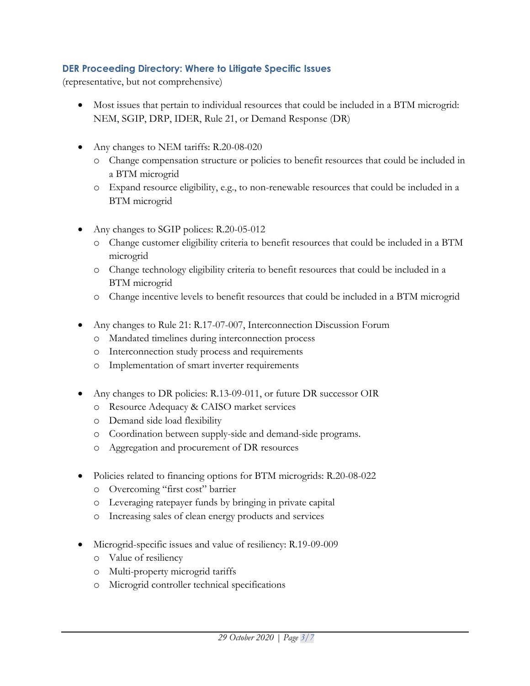### **DER Proceeding Directory: Where to Litigate Specific Issues**

(representative, but not comprehensive)

- Most issues that pertain to individual resources that could be included in a BTM microgrid: NEM, SGIP, DRP, IDER, Rule 21, or Demand Response (DR)
- Any changes to NEM tariffs: R.20-08-020
	- o Change compensation structure or policies to benefit resources that could be included in a BTM microgrid
	- o Expand resource eligibility, e.g., to non-renewable resources that could be included in a BTM microgrid
- Any changes to SGIP polices: R.20-05-012
	- o Change customer eligibility criteria to benefit resources that could be included in a BTM microgrid
	- o Change technology eligibility criteria to benefit resources that could be included in a BTM microgrid
	- o Change incentive levels to benefit resources that could be included in a BTM microgrid
- Any changes to Rule 21: R.17-07-007, Interconnection Discussion Forum
	- o Mandated timelines during interconnection process
	- o Interconnection study process and requirements
	- o Implementation of smart inverter requirements
- Any changes to DR policies: R.13-09-011, or future DR successor OIR
	- o Resource Adequacy & CAISO market services
	- o Demand side load flexibility
	- o Coordination between supply-side and demand-side programs.
	- o Aggregation and procurement of DR resources
- Policies related to financing options for BTM microgrids: R.20-08-022
	- o Overcoming "first cost" barrier
	- o Leveraging ratepayer funds by bringing in private capital
	- o Increasing sales of clean energy products and services
- Microgrid-specific issues and value of resiliency: R.19-09-009
	- o Value of resiliency
	- o Multi-property microgrid tariffs
	- o Microgrid controller technical specifications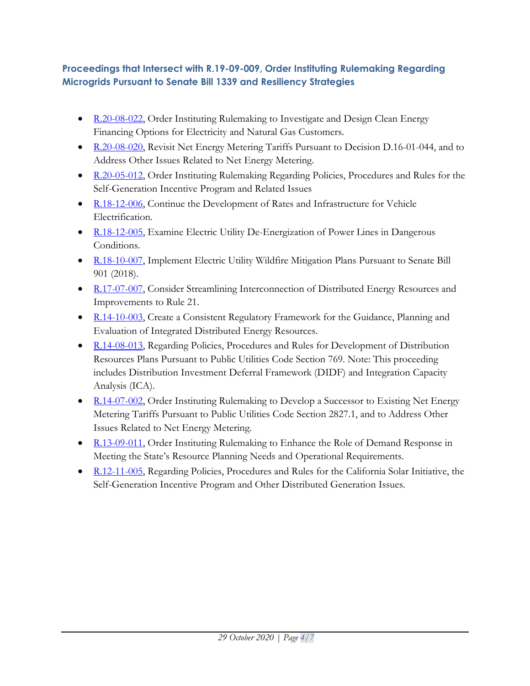# **Proceedings that Intersect with [R.19-09-009,](https://apps.cpuc.ca.gov/apex/f?p=401:56:0::NO:RP,57,RIR:P5_PROCEEDING_SELECT:R1909009) Order Instituting Rulemaking Regarding Microgrids Pursuant to Senate Bill 1339 and Resiliency Strategies**

- [R.20-08-022,](https://apps.cpuc.ca.gov/apex/f?p=401:56:0::NO:RP,57,RIR:P5_PROCEEDING_SELECT:R2008022) Order Instituting Rulemaking to Investigate and Design Clean Energy Financing Options for Electricity and Natural Gas Customers.
- [R.20-08-020,](https://apps.cpuc.ca.gov/apex/f?p=401:56:0::NO:RP,57,RIR:P5_PROCEEDING_SELECT:R2008020) Revisit Net Energy Metering Tariffs Pursuant to Decision D.16-01-044, and to Address Other Issues Related to Net Energy Metering.
- [R.20-05-012,](https://apps.cpuc.ca.gov/apex/f?p=401:56:0::NO:RP,57,RIR:P5_PROCEEDING_SELECT:R2005012) Order Instituting Rulemaking Regarding Policies, Procedures and Rules for the Self-Generation Incentive Program and Related Issues
- [R.18-12-006,](https://apps.cpuc.ca.gov/apex/f?p=401:56:0::NO:RP,57,RIR:P5_PROCEEDING_SELECT:R1812006) Continue the Development of Rates and Infrastructure for Vehicle Electrification.
- [R.18-12-005,](https://apps.cpuc.ca.gov/apex/f?p=401:56:0::NO:RP,57,RIR:P5_PROCEEDING_SELECT:R1812005) Examine Electric Utility De-Energization of Power Lines in Dangerous Conditions.
- [R.18-10-007,](https://apps.cpuc.ca.gov/apex/f?p=401:56:0::NO:RP,57,RIR:P5_PROCEEDING_SELECT:R1810007) Implement Electric Utility Wildfire Mitigation Plans Pursuant to Senate Bill 901 (2018).
- [R.17-07-007,](https://apps.cpuc.ca.gov/apex/f?p=401:56:0::NO:RP,57,RIR:P5_PROCEEDING_SELECT:R1707007) Consider Streamlining Interconnection of Distributed Energy Resources and Improvements to Rule 21.
- [R.14-10-003,](https://apps.cpuc.ca.gov/apex/f?p=401:56:0::NO:RP,57,RIR:P5_PROCEEDING_SELECT:R1410003) Create a Consistent Regulatory Framework for the Guidance, Planning and Evaluation of Integrated Distributed Energy Resources.
- [R.14-08-013,](https://apps.cpuc.ca.gov/apex/f?p=401:56:0::NO:RP,57,RIR:P5_PROCEEDING_SELECT:R1408013) Regarding Policies, Procedures and Rules for Development of Distribution Resources Plans Pursuant to Public Utilities Code Section 769. Note: This proceeding includes Distribution Investment Deferral Framework (DIDF) and Integration Capacity Analysis (ICA).
- [R.14-07-002,](https://apps.cpuc.ca.gov/apex/f?p=401:56:0::NO:RP,57,RIR:P5_PROCEEDING_SELECT:R1407002) Order Instituting Rulemaking to Develop a Successor to Existing Net Energy Metering Tariffs Pursuant to Public Utilities Code Section 2827.1, and to Address Other Issues Related to Net Energy Metering.
- [R.13-09-011,](https://apps.cpuc.ca.gov/apex/f?p=401:56:0::NO:RP,57,RIR:P5_PROCEEDING_SELECT:R1309011) Order Instituting Rulemaking to Enhance the Role of Demand Response in Meeting the State's Resource Planning Needs and Operational Requirements.
- [R.12-11-005,](https://apps.cpuc.ca.gov/apex/f?p=401:56:0::NO:RP,57,RIR:P5_PROCEEDING_SELECT:R1211005) Regarding Policies, Procedures and Rules for the California Solar Initiative, the Self-Generation Incentive Program and Other Distributed Generation Issues.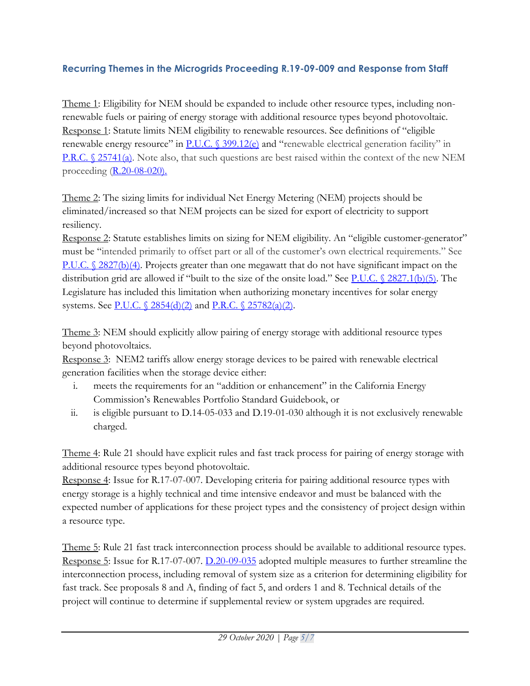# **Recurring Themes in the Microgrids Proceeding R.19-09-009 and Response from Staff**

Theme 1: Eligibility for NEM should be expanded to include other resource types, including nonrenewable fuels or pairing of energy storage with additional resource types beyond photovoltaic. Response 1: Statute limits NEM eligibility to renewable resources. See definitions of "eligible renewable energy resource" in [P.U.C. § 399.12\(e\)](http://leginfo.legislature.ca.gov/faces/codes_displaySection.xhtml?lawCode=PUC§ionNum=399.12.) and "renewable electrical generation facility" in [P.R.C. § 25741\(a\).](http://leginfo.legislature.ca.gov/faces/codes_displaySection.xhtml?lawCode=PRC§ionNum=25741.) Note also, that such questions are best raised within the context of the new NEM proceeding [\(R.20-08-020\)](https://apps.cpuc.ca.gov/apex/f?p=401:56:0::NO:RP,57,RIR:P5_PROCEEDING_SELECT:R2008020).

Theme 2: The sizing limits for individual Net Energy Metering (NEM) projects should be eliminated/increased so that NEM projects can be sized for export of electricity to support resiliency.

Response 2: Statute establishes limits on sizing for NEM eligibility. An "eligible customer-generator" must be "intended primarily to offset part or all of the customer's own electrical requirements." See [P.U.C. § 2827\(b\)\(4\).](http://leginfo.legislature.ca.gov/faces/codes_displaySection.xhtml?lawCode=PUC§ionNum=2827.&article=3) Projects greater than one megawatt that do not have significant impact on the distribution grid are allowed if "built to the size of the onsite load." See [P.U.C. § 2827.1\(b\)\(5\).](http://leginfo.legislature.ca.gov/faces/codes_displaySection.xhtml?lawCode=PUC§ionNum=2827.1.) The Legislature has included this limitation when authorizing monetary incentives for solar energy systems. See [P.U.C. § 2854\(d\)\(2\)](http://leginfo.legislature.ca.gov/faces/codes_displaySection.xhtml?lawCode=PUC§ionNum=2854.&article=1) and P.R.C. [§ 25782\(a\)\(2\).](http://leginfo.legislature.ca.gov/faces/codes_displaySection.xhtml?lawCode=PRC§ionNum=25782.)

Theme 3: NEM should explicitly allow pairing of energy storage with additional resource types beyond photovoltaics.

Response 3: NEM2 tariffs allow energy storage devices to be paired with renewable electrical generation facilities when the storage device either:

- i. meets the requirements for an "addition or enhancement" in the California Energy Commission's Renewables Portfolio Standard Guidebook, or
- ii. is eligible pursuant to D.14-05-033 and D.19-01-030 although it is not exclusively renewable charged.

Theme 4: Rule 21 should have explicit rules and fast track process for pairing of energy storage with additional resource types beyond photovoltaic.

Response 4: Issue for R.17-07-007. Developing criteria for pairing additional resource types with energy storage is a highly technical and time intensive endeavor and must be balanced with the expected number of applications for these project types and the consistency of project design within a resource type.

Theme 5: Rule 21 fast track interconnection process should be available to additional resource types. Response 5: Issue for R.17-07-007. [D.20-09-035](https://docs.cpuc.ca.gov/PublishedDocs/Published/G000/M347/K953/347953769.PDF) adopted multiple measures to further streamline the interconnection process, including removal of system size as a criterion for determining eligibility for fast track. See proposals 8 and A, finding of fact 5, and orders 1 and 8. Technical details of the project will continue to determine if supplemental review or system upgrades are required.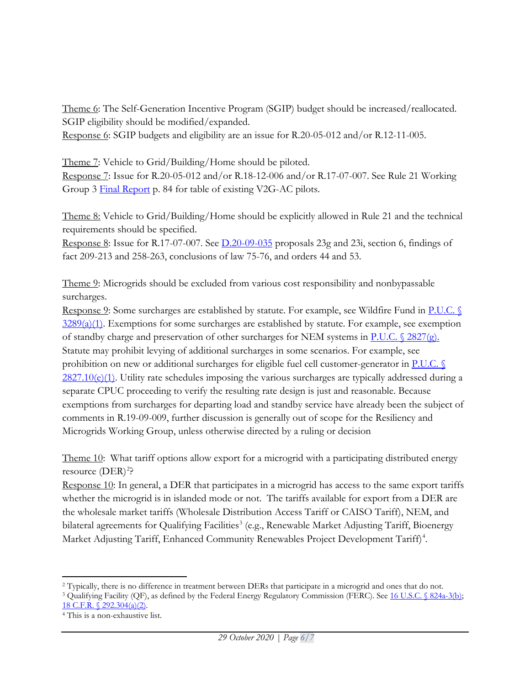Theme 6: The Self-Generation Incentive Program (SGIP) budget should be increased/reallocated. SGIP eligibility should be modified/expanded.

Response 6: SGIP budgets and eligibility are an issue for R.20-05-012 and/or R.12-11-005.

Theme 7: Vehicle to Grid/Building/Home should be piloted. Response 7: Issue for R.20-05-012 and/or R.18-12-006 and/or R.17-07-007. See Rule 21 Working Group 3 [Final Report](https://docs.cpuc.ca.gov/PublishedDocs/Efile/G000/M309/K943/309943907.PDF) p. 84 for table of existing V2G-AC pilots.

Theme 8: Vehicle to Grid/Building/Home should be explicitly allowed in Rule 21 and the technical requirements should be specified.

Response 8: Issue for R.17-07-007. See [D.20-09-035](https://docs.cpuc.ca.gov/PublishedDocs/Published/G000/M347/K953/347953769.PDF) proposals 23g and 23i, section 6, findings of fact 209-213 and 258-263, conclusions of law 75-76, and orders 44 and 53.

Theme 9: Microgrids should be excluded from various cost responsibility and nonbypassable surcharges.

Response 9: Some surcharges are established by statute. For example, see Wildfire Fund in P.U.C. §  $3289(a)(1)$ . Exemptions for some surcharges are established by statute. For example, see exemption of standby charge and preservation of other surcharges for NEM systems in P.U.C.  $\sqrt{2827(g)}$ . Statute may prohibit levying of additional surcharges in some scenarios. For example, see prohibition on new or additional surcharges for eligible fuel cell customer-generator in  $\underline{P.U.C.}$ [2827.10\(e\)\(1\).](https://leginfo.legislature.ca.gov/faces/codes_displaySection.xhtml?lawCode=PUC§ionNum=2827.10.&article=3.&highlight=true&keyword=standby) Utility rate schedules imposing the various surcharges are typically addressed during a separate CPUC proceeding to verify the resulting rate design is just and reasonable. Because exemptions from surcharges for departing load and standby service have already been the subject of comments in R.19-09-009, further discussion is generally out of scope for the Resiliency and Microgrids Working Group, unless otherwise directed by a ruling or decision

Theme 10: What tariff options allow export for a microgrid with a participating distributed energy resource (DER)<sup>[2](#page-5-0)</sup>?

Response 10: In general, a DER that participates in a microgrid has access to the same export tariffs whether the microgrid is in islanded mode or not. The tariffs available for export from a DER are the wholesale market tariffs (Wholesale Distribution Access Tariff or CAISO Tariff), NEM, and bilateral agreements for Qualifying Facilities<sup>[3](#page-5-1)</sup> (e.g., Renewable Market Adjusting Tariff, Bioenergy Market Adjusting Tariff, Enhanced Community Renewables Project Development Tariff) [4](#page-5-2) .

<span id="page-5-0"></span><sup>&</sup>lt;sup>2</sup> Typically, there is no difference in treatment between DERs that participate in a microgrid and ones that do not.<br><sup>3</sup> Qualifying Facility (QF), as defined by the Federal Energy Regulatory Commission (FERC). See <u>16 U.S</u>

<span id="page-5-1"></span>[<sup>18</sup> C.F.R. § 292.304\(a\)\(2\).](https://www.ecfr.gov/cgi-bin/text-idx?SID=4908c4af8971131008ea43e64c28e3ee&mc=true&node=pt18.1.292&rgn=div5#se18.1.292_1304)

<span id="page-5-2"></span><sup>4</sup> This is a non-exhaustive list.